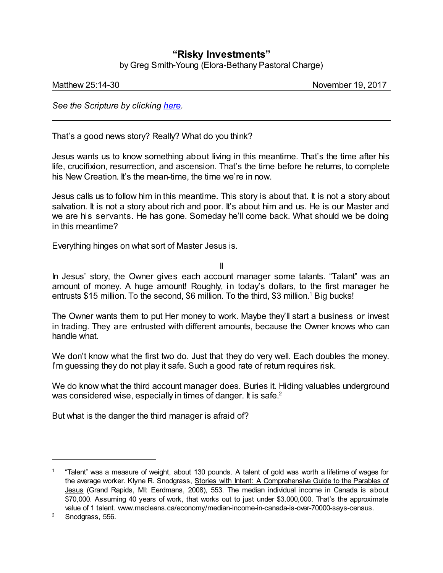## **"Risky Investments"**

by Greg Smith-Young (Elora-Bethany Pastoral Charge)

Matthew 25:14-30 **November 19, 2017** 

*See the Scripture by clicking [here](https://www.biblegateway.com/passage/?search=Matthew+25%3A14-30&version=NRSV).*

That's a good news story? Really? What do you think?

Jesus wants us to know something about living in this meantime. That's the time after his life, crucifixion, resurrection, and ascension. That's the time before he returns, to complete his New Creation. It's the mean-time, the time we're in now.

Jesus calls us to follow him in this meantime. This story is about that. It is not a story about salvation. It is not a story about rich and poor. It's about him and us. He is our Master and we are his servants. He has gone. Someday he'll come back. What should we be doing in this meantime?

Everything hinges on what sort of Master Jesus is.

II

In Jesus' story, the Owner gives each account manager some talants. "Talant" was an amount of money. A huge amount! Roughly, in today's dollars, to the first manager he entrusts \$15 million. To the second, \$6 million. To the third, \$3 million. <sup>1</sup> Big bucks!

The Owner wants them to put Her money to work. Maybe they'll start a business or invest in trading. They are entrusted with different amounts, because the Owner knows who can handle what.

We don't know what the first two do. Just that they do very well. Each doubles the money. I'm guessing they do not play it safe. Such a good rate of return requires risk.

We do know what the third account manager does. Buries it. Hiding valuables underground was considered wise, especially in times of danger. It is safe.<sup>2</sup>

But what is the danger the third manager is afraid of?

<sup>1</sup> "Talent" was a measure of weight, about 130 pounds. A talent of gold was worth a lifetime of wages for the average worker. Klyne R. Snodgrass, Stories with Intent: A Comprehensive Guide to the Parables of Jesus (Grand Rapids, MI: Eerdmans, 2008), 553. The median individual income in Canada is about \$70,000. Assuming 40 years of work, that works out to just under \$3,000,000. That's the approximate value of 1 talent. www.macleans.ca/economy/median-income-in-canada-is-over-70000-says-census.

<sup>&</sup>lt;sup>2</sup> Snodgrass, 556.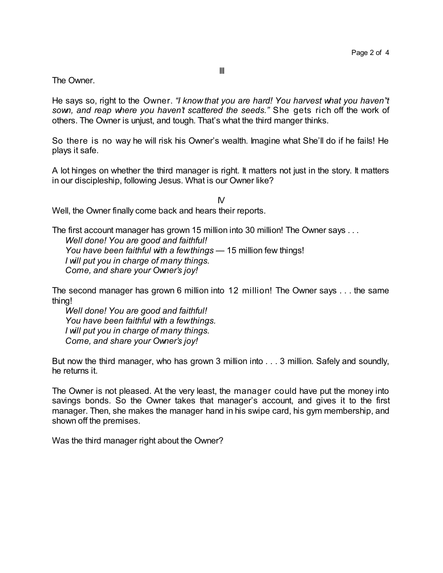The Owner.

He says so, right to the Owner. *"I know that you are hard! You harvest what you haven''t sown, and reap where you haven't scattered the seeds."* She gets rich off the work of others. The Owner is unjust, and tough. That's what the third manger thinks.

So there is no way he will risk his Owner's wealth. Imagine what She'll do if he fails! He plays it safe.

A lot hinges on whether the third manager is right. It matters not just in the story. It matters in our discipleship, following Jesus. What is our Owner like?

 $\mathsf{N}$ Well, the Owner finally come back and hears their reports.

The first account manager has grown 15 million into 30 million! The Owner says . . . *Well done! You are good and faithful! You have been faithful with a fewthings —* 15 million few things! *I will put you in charge of many things. Come, and share your Owner's joy!*

The second manager has grown 6 million into 12 million! The Owner says . . . the same thing!

*Well done! You are good and faithful! You have been faithful with a fewthings. I will put you in charge of many things. Come, and share your Owner's joy!*

But now the third manager, who has grown 3 million into . . . 3 million. Safely and soundly, he returns it.

The Owner is not pleased. At the very least, the manager could have put the money into savings bonds. So the Owner takes that manager's account, and gives it to the first manager. Then, she makes the manager hand in his swipe card, his gym membership, and shown off the premises.

Was the third manager right about the Owner?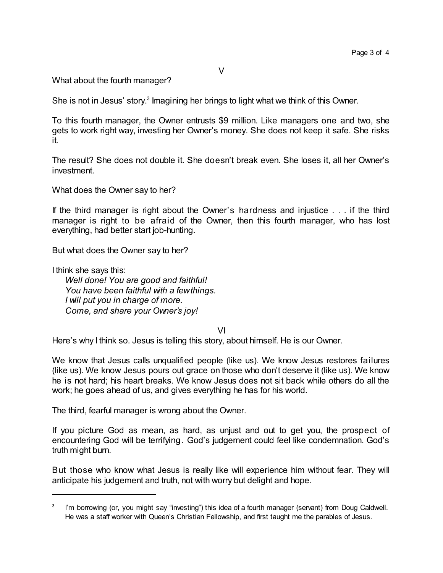What about the fourth manager?

She is not in Jesus' story.<sup>3</sup> Imagining her brings to light what we think of this Owner.

To this fourth manager, the Owner entrusts \$9 million. Like managers one and two, she gets to work right way, investing her Owner's money. She does not keep it safe. She risks it.

The result? She does not double it. She doesn't break even. She loses it, all her Owner's investment.

What does the Owner say to her?

If the third manager is right about the Owner's hardness and injustice . . . if the third manager is right to be afraid of the Owner, then this fourth manager, who has lost everything, had better start job-hunting.

But what does the Owner say to her?

I think she says this:

*Well done! You are good and faithful! You have been faithful with a fewthings. I will put you in charge of more. Come, and share your Owner's joy!*

VI

Here's why I think so. Jesus is telling this story, about himself. He is our Owner.

We know that Jesus calls unqualified people (like us). We know Jesus restores failures (like us). We know Jesus pours out grace on those who don't deserve it (like us). We know he is not hard; his heart breaks. We know Jesus does not sit back while others do all the work; he goes ahead of us, and gives everything he has for his world.

The third, fearful manager is wrong about the Owner.

If you picture God as mean, as hard, as unjust and out to get you, the prospect of encountering God will be terrifying. God's judgement could feel like condemnation. God's truth might burn.

But those who know what Jesus is really like will experience him without fear. They will anticipate his judgement and truth, not with worry but delight and hope.

<sup>3</sup> I'm borrowing (or, you might say "investing") this idea of a fourth manager (servant) from Doug Caldwell. He was a staff worker with Queen's Christian Fellowship, and first taught me the parables of Jesus.